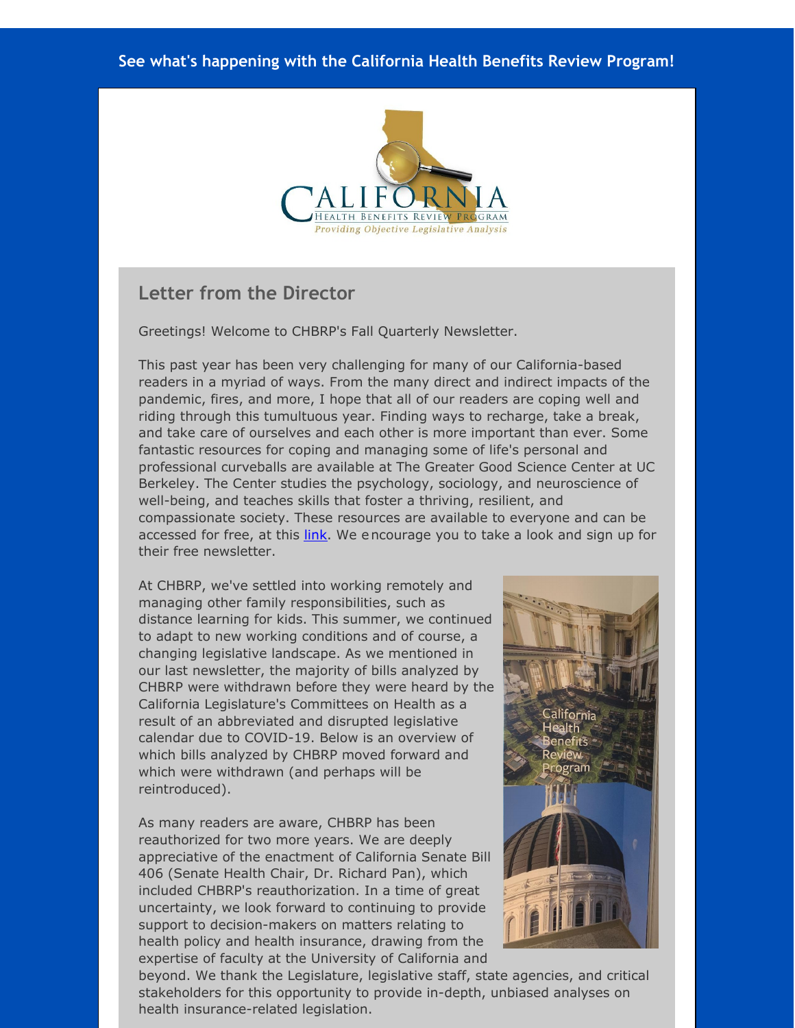#### **See what's happening with the California Health Benefits Review Program!**



#### **Letter from the Director**

Greetings! Welcome to CHBRP's Fall Quarterly Newsletter.

This past year has been very challenging for many of our California-based readers in a myriad of ways. From the many direct and indirect impacts of the pandemic, fires, and more, I hope that all of our readers are coping well and riding through this tumultuous year. Finding ways to recharge, take a break, and take care of ourselves and each other is more important than ever. Some fantastic resources for coping and managing some of life's personal and professional curveballs are available at The Greater Good Science Center at UC Berkeley. The Center studies the psychology, sociology, and neuroscience of well-being, and teaches skills that foster a thriving, resilient, and compassionate society. These resources are available to everyone and can be accessed for free, at this *link*. We encourage you to take a look and sign up for their free newsletter.

At CHBRP, we've settled into working remotely and managing other family responsibilities, such as distance learning for kids. This summer, we continued to adapt to new working conditions and of course, a changing legislative landscape. As we mentioned in our last newsletter, the majority of bills analyzed by CHBRP were withdrawn before they were heard by the California Legislature's Committees on Health as a result of an abbreviated and disrupted legislative calendar due to COVID-19. Below is an overview of which bills analyzed by CHBRP moved forward and which were withdrawn (and perhaps will be reintroduced).

As many readers are aware, CHBRP has been reauthorized for two more years. We are deeply appreciative of the enactment of California Senate Bill 406 (Senate Health Chair, Dr. Richard Pan), which included CHBRP's reauthorization. In a time of great uncertainty, we look forward to continuing to provide support to decision-makers on matters relating to health policy and health insurance, drawing from the expertise of faculty at the University of California and



beyond. We thank the Legislature, legislative staff, state agencies, and critical stakeholders for this opportunity to provide in-depth, unbiased analyses on health insurance-related legislation.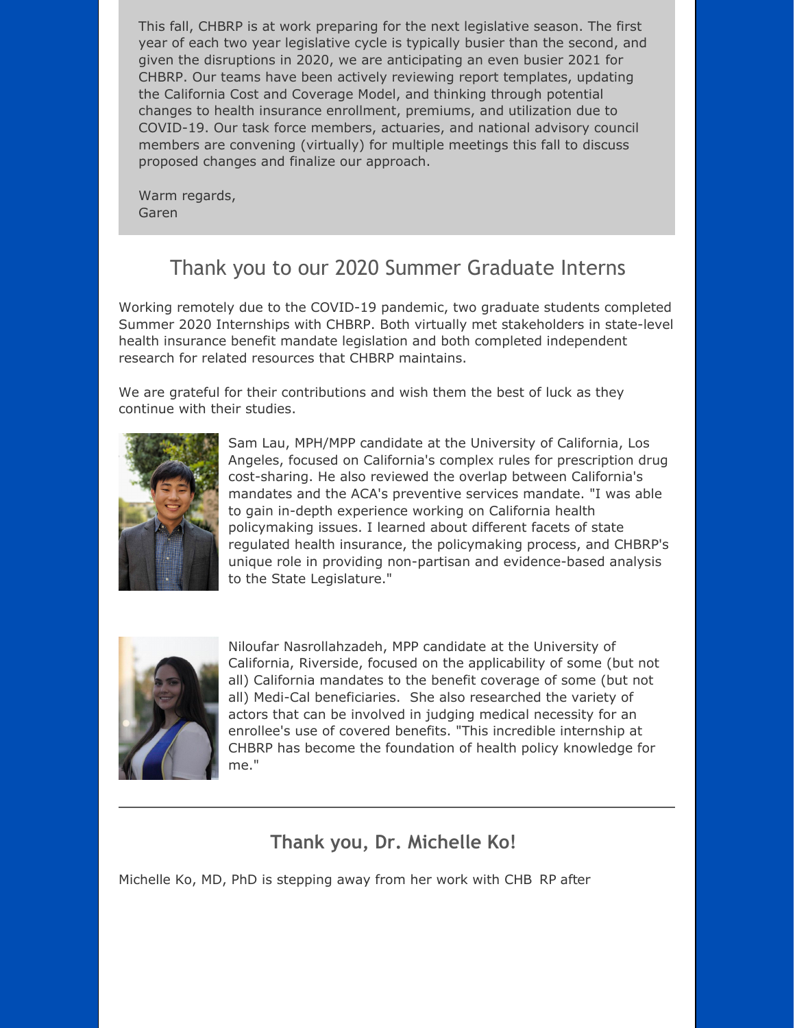This fall, CHBRP is at work preparing for the next legislative season. The first year of each two year legislative cycle is typically busier than the second, and given the disruptions in 2020, we are anticipating an even busier 2021 for CHBRP. Our teams have been actively reviewing report templates, updating the California Cost and Coverage Model, and thinking through potential changes to health insurance enrollment, premiums, and utilization due to COVID-19. Our task force members, actuaries, and national advisory council members are convening (virtually) for multiple meetings this fall to discuss proposed changes and finalize our approach.

Warm regards, Garen

# Thank you to our 2020 Summer Graduate Interns

Working remotely due to the COVID-19 pandemic, two graduate students completed Summer 2020 Internships with CHBRP. Both virtually met stakeholders in state-level health insurance benefit mandate legislation and both completed independent research for related resources that CHBRP maintains.

We are grateful for their contributions and wish them the best of luck as they continue with their studies.



Sam Lau, MPH/MPP candidate at the University of California, Los Angeles, focused on California's complex rules for prescription drug cost-sharing. He also reviewed the overlap between California's mandates and the ACA's preventive services mandate. "I was able to gain in-depth experience working on California health policymaking issues. I learned about different facets of state regulated health insurance, the policymaking process, and CHBRP's unique role in providing non-partisan and evidence-based analysis to the State Legislature."



Niloufar Nasrollahzadeh, MPP candidate at the University of California, Riverside, focused on the applicability of some (but not all) California mandates to the benefit coverage of some (but not all) Medi-Cal beneficiaries. She also researched the variety of actors that can be involved in judging medical necessity for an enrollee's use of covered benefits. "This incredible internship at CHBRP has become the foundation of health policy knowledge for me."

## **Thank you, Dr. Michelle Ko!**

Michelle Ko, MD, PhD is stepping away from her work with CHB RP after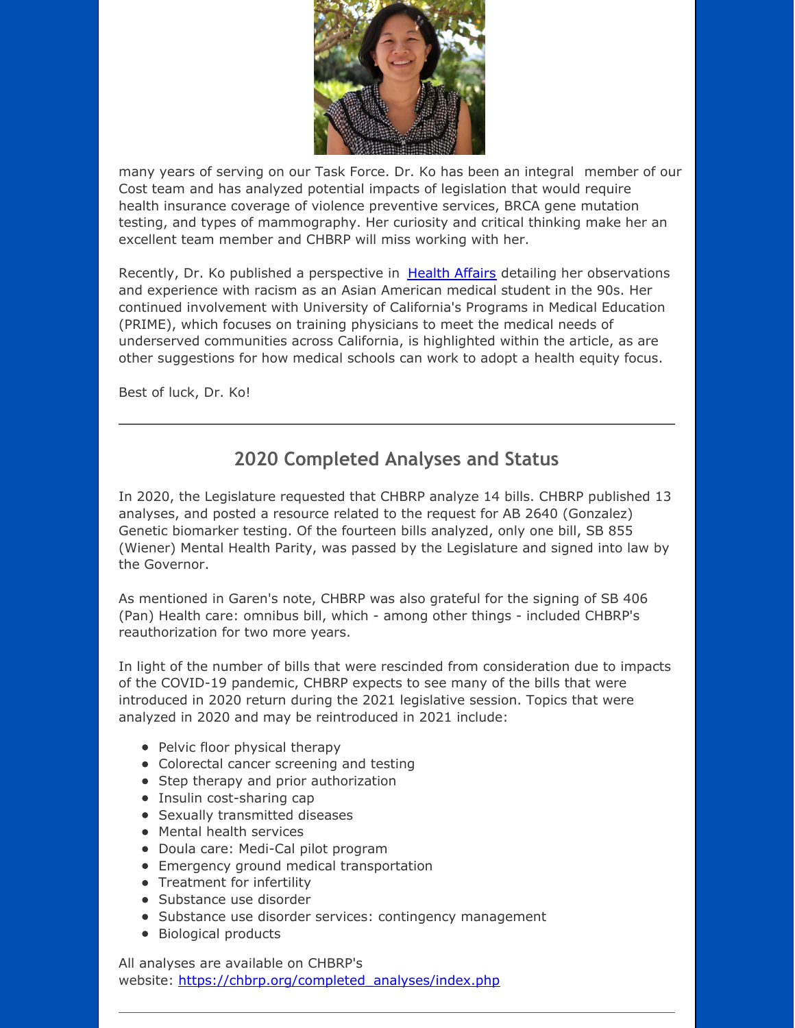

many years of serving on our Task Force. Dr. Ko has been an integral member of our Cost team and has analyzed potential impacts of legislation that would require health insurance coverage of violence preventive services, BRCA gene mutation testing, and types of mammography. Her curiosity and critical thinking make her an excellent team member and CHBRP will miss working with her.

Recently, Dr. Ko published a perspective in [Health](http://r20.rs6.net/tn.jsp?f=001yAWzUWgTdMEbRpvIoCs76ZB5QcKqgDY2gkJC6yEDg-bA0TT2a-6z-gbk3qiWkLr9GSWbc3LIbbhN-2CJ-nKWBfhvNMOSmw4gNijuKLENg85bG-Jb6_9Cca1maa5cIfDBIrZxa8jcvE3saz7C7BmNk9md-0da4TSkFYAk_isUCBtYTAlIo2oeyVKlBYE8CMp-TVGlZB3xN2nYwoeMRnxwv3BQN2O6azjYKjzM9KvX2f-ePNe1akqTL5-E0NeKFXtX4tOZU9pxn1OHzSg673IR-YUsNqdepIfMqHcKvW0Rtjn-Wu8ybFP58kn9m40NCfdUp3DlmdQWJFpxQtIEOaT2-c8VAjgP2zjwfjeQJqpQNth8FArtvcODYEpPKvcBfnU5&c=&ch=) Affairs detailing her observations and experience with racism as an Asian American medical student in the 90s. Her continued involvement with University of California's Programs in Medical Education (PRIME), which focuses on training physicians to meet the medical needs of underserved communities across California, is highlighted within the article, as are other suggestions for how medical schools can work to adopt a health equity focus.

Best of luck, Dr. Ko!

## **2020 Completed Analyses and Status**

In 2020, the Legislature requested that CHBRP analyze 14 bills. CHBRP published 13 analyses, and posted a resource related to the request for AB 2640 (Gonzalez) Genetic biomarker testing. Of the fourteen bills analyzed, only one bill, SB 855 (Wiener) Mental Health Parity, was passed by the Legislature and signed into law by the Governor.

As mentioned in Garen's note, CHBRP was also grateful for the signing of SB 406 (Pan) Health care: omnibus bill, which - among other things - included CHBRP's reauthorization for two more years.

In light of the number of bills that were rescinded from consideration due to impacts of the COVID-19 pandemic, CHBRP expects to see many of the bills that were introduced in 2020 return during the 2021 legislative session. Topics that were analyzed in 2020 and may be reintroduced in 2021 include:

- Pelvic floor physical therapy
- Colorectal cancer screening and testing
- Step therapy and prior authorization
- Insulin cost-sharing cap
- Sexually transmitted diseases
- Mental health services
- Doula care: Medi-Cal pilot program
- Emergency ground medical transportation
- Treatment for infertility
- Substance use disorder
- Substance use disorder services: contingency management
- Biological products

All analyses are available on CHBRP's website: [https://chbrp.org/completed\\_analyses/index.php](http://r20.rs6.net/tn.jsp?f=001yAWzUWgTdMEbRpvIoCs76ZB5QcKqgDY2gkJC6yEDg-bA0TT2a-6z-gbk3qiWkLr9bttcsJy0d7Ys_KQF5b2Z46FwYxCzVADkimA6D9bEFbz4CtenPR9Aqd_ndQshrBdG5MnIqWEYbgKYyDR6AzmLbJIxAKUrvlxzM8bqojO98dsiLsX1H8IJcPNXYTXxnyWuJTtU1JP77um5APMhX4Gbx6blbJqBCIst5RN9YybN-TYl7FxjYCMR-MKga57fPOK3-HygUQjlgS4PlRLAnCIFaKkO3DKY768LnfsxKkdqzeZ6gNsLnva_wYWqnE1TBjxJ4vL7B8DXOWxFQ03uo030tD1r4Nj7pr69&c=&ch=)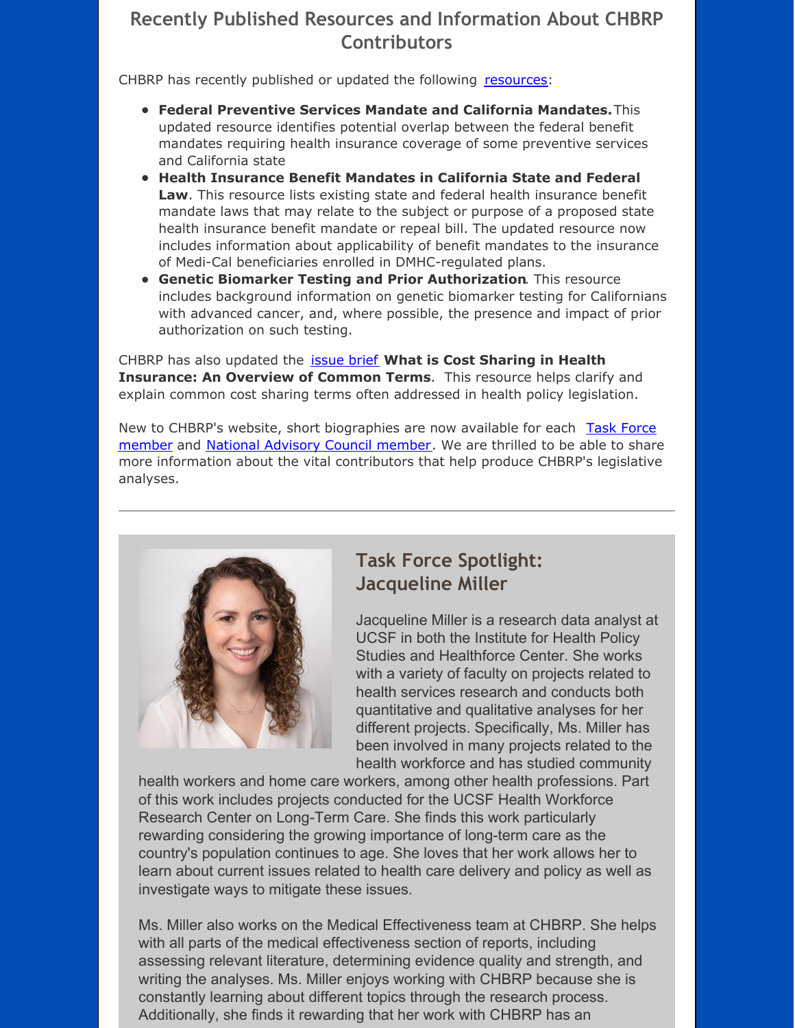## **Recently Published Resources and Information About CHBRP Contributors**

CHBRP has recently published or updated the following [resources](http://r20.rs6.net/tn.jsp?f=001yAWzUWgTdMEbRpvIoCs76ZB5QcKqgDY2gkJC6yEDg-bA0TT2a-6z-gbk3qiWkLr99cyZndTzijKObMB-nvsFQRJ6vvlYO_tEaTdK7O7H3S6FLEvr9lX7ZciV9lEDXVk5xqc-zf4zDylRu7MdHOFcVb6v3lB-CD3TxeoYSTUhx_uxQY3Z09PzABBULMZT0G32vZ-4uxMGFVyotxdkJ3gYjKxpUGqliv1Ci0HQVbBL0FN89Hy881vYLDHFL5-9Uee6nBiC07AsrF2nQ92NOqzwFBbviq8u_BfDSq3pOGL7zxRwXu4uQNDRO4EQwTFUX7mSK1DJdCqmYY_ddcvAXSoOAZOCCHH02zlzYak4uvNZw7bEUnRGeSqZNMTokR4V-DgubRSQkIYjs24=&c=&ch=):

- **Federal Preventive Services Mandate and California Mandates.**This updated resource identifies potential overlap between the federal benefit mandates requiring health insurance coverage of some preventive services and California state
- **Health Insurance Benefit Mandates in California State and Federal Law**. This resource lists existing state and federal health insurance benefit mandate laws that may relate to the subject or purpose of a proposed state health insurance benefit mandate or repeal bill. The updated resource now includes information about applicability of benefit mandates to the insurance of Medi-Cal beneficiaries enrolled in DMHC-regulated plans.
- **Genetic Biomarker Testing and Prior Authorization**. This resource includes background information on genetic biomarker testing for Californians with advanced cancer, and, where possible, the presence and impact of prior authorization on such testing.

CHBRP has also updated the [issue](http://r20.rs6.net/tn.jsp?f=001yAWzUWgTdMEbRpvIoCs76ZB5QcKqgDY2gkJC6yEDg-bA0TT2a-6z-gbk3qiWkLr9E2RRnG7-vw7KDvP7f_FKK55-qu6zT6hxWII3C3lQe-LyPpQ_2IEUbG8L0NcB3Jgc8pnxUnn5KQjLi4VTyOAxHSEG0zaxh7Iv0G6Zor_sTG_KZuWr6zap-gRmmd6i7Cfc1BWr9i6BDLqS4Aasli9pdk2OrUL_IX1wWdm4a3Vkp7bQxCXZrq6kh8z7S1lZphV-QX-6hweBhkVKmlWT4fnAhMg8Iqt9TT-6PPNbZE4HrD6XGmCbyyw65c2zBFUPUwTRHs6BiZ0fzDpYwa29rHxQmz4KcR-PmsjRZLXNYMnV9gv9Mcf_Lpme3K86Irs31w84mZpD3TwuSB4=&c=&ch=) brief **What is Cost Sharing in Health Insurance: An Overview of Common Terms**. This resource helps clarify and explain common cost sharing terms often addressed in health policy legislation.

New to CHBRP's website, short [biographies](http://r20.rs6.net/tn.jsp?f=001yAWzUWgTdMEbRpvIoCs76ZB5QcKqgDY2gkJC6yEDg-bA0TT2a-6z-gbk3qiWkLr9CjZC5qVyt0DHntGGy4_AocnmFU_1xwosxi0vJCpRBmy68Be8RTdic88C_f2sqDJZhurkAmKuNd9LxrCPJCr2h9ZWawG0Y14arV0VbLxgFbMDj6zSXGvrl7qS-iPSFqGtFIi-ugl0_CjACr2cPEpHWa82XgYqDMv88Peyia4XyHTgJaGtdiXs5FTWr9lJuhC6NUZIO_AFS3nkUQw4jDILsguO2tykDD-zJzT4hDuJFhYqaKTQNy84PA4xJ7Wjfz-1WApvZVkL1_167bswsL24eOTVVRmvXfmXRKW6x79ji3I=&c=&ch=) are now available for each Task Force member and National [Advisory](http://r20.rs6.net/tn.jsp?f=001yAWzUWgTdMEbRpvIoCs76ZB5QcKqgDY2gkJC6yEDg-bA0TT2a-6z-gbk3qiWkLr9Weyho9xvPQxPJtpx28-YiZ_ois7L3G5JN0i7FMdHzE1aEEoebS67eTOsGdDgTcyfPMaSaq8iVShTQ1KcJ7EchF9xh_1wJLxAVkZ9hqDBRiDeukjnfjpG35W9xgZfRRLUXo5XlRmRUS_-hwGzqPzXlFtudAt-3XYX2YMc8i980fU3OGNql-z4X9pGxu_hDcoDpIGzlAmIM7pjkIqbkNktw4tAo3w-P6cf2mJfzZgT4V6dxNi5h39FONOTyhLjk2L8158AF_72Ppo9lmnzoIMSqM4OIFMlbGqg2yslyN7o3MA7OzVKjtZcezdSaIdgzhnJ&c=&ch=) Council member. We are thrilled to be able to share more information about the vital contributors that help produce CHBRP's legislative analyses.



## **Task Force Spotlight: Jacqueline Miller**

Jacqueline Miller is a research data analyst at UCSF in both the Institute for Health Policy Studies and Healthforce Center. She works with a variety of faculty on projects related to health services research and conducts both quantitative and qualitative analyses for her different projects. Specifically, Ms. Miller has been involved in many projects related to the health workforce and has studied community

health workers and home care workers, among other health professions. Part of this work includes projects conducted for the UCSF Health Workforce Research Center on Long-Term Care. She finds this work particularly rewarding considering the growing importance of long-term care as the country's population continues to age. She loves that her work allows her to learn about current issues related to health care delivery and policy as well as investigate ways to mitigate these issues.

Ms. Miller also works on the Medical Effectiveness team at CHBRP. She helps with all parts of the medical effectiveness section of reports, including assessing relevant literature, determining evidence quality and strength, and writing the analyses. Ms. Miller enjoys working with CHBRP because she is constantly learning about different topics through the research process. Additionally, she finds it rewarding that her work with CHBRP has an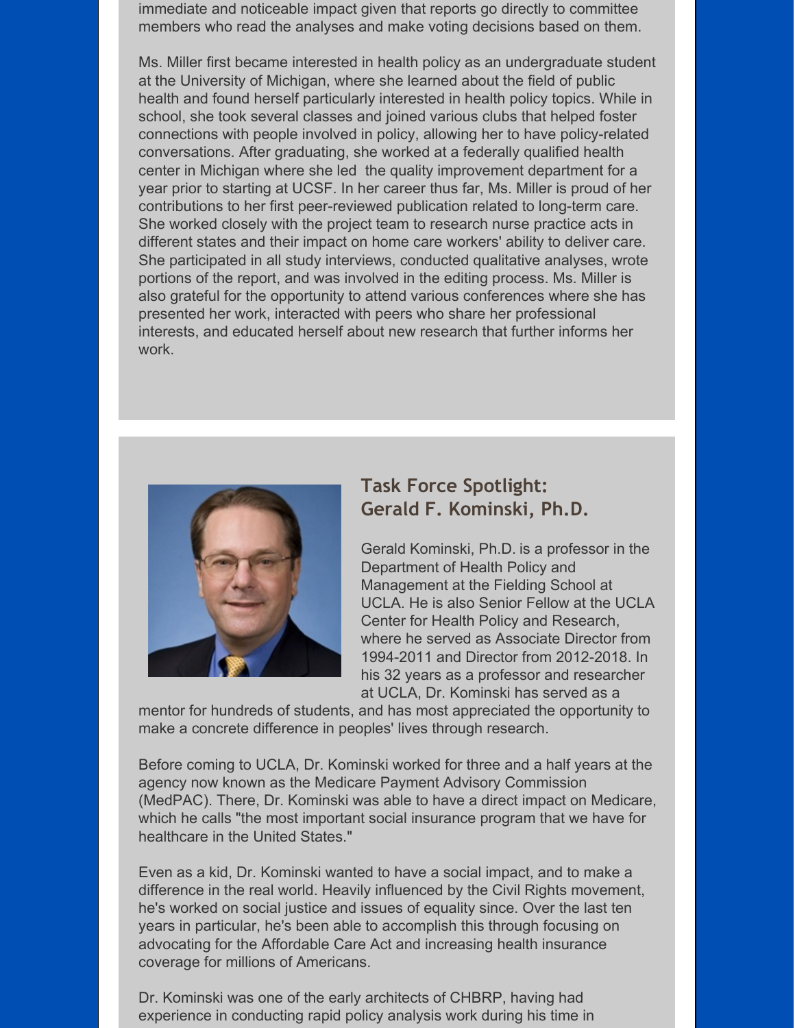immediate and noticeable impact given that reports go directly to committee members who read the analyses and make voting decisions based on them.

Ms. Miller first became interested in health policy as an undergraduate student at the University of Michigan, where she learned about the field of public health and found herself particularly interested in health policy topics. While in school, she took several classes and joined various clubs that helped foster connections with people involved in policy, allowing her to have policy-related conversations. After graduating, she worked at a federally qualified health center in Michigan where she led the quality improvement department for a year prior to starting at UCSF. In her career thus far, Ms. Miller is proud of her contributions to her first peer-reviewed publication related to long-term care. She worked closely with the project team to research nurse practice acts in different states and their impact on home care workers' ability to deliver care. She participated in all study interviews, conducted qualitative analyses, wrote portions of the report, and was involved in the editing process. Ms. Miller is also grateful for the opportunity to attend various conferences where she has presented her work, interacted with peers who share her professional interests, and educated herself about new research that further informs her work.



#### **Task Force Spotlight: Gerald F. Kominski, Ph.D.**

Gerald Kominski, Ph.D. is a professor in the Department of Health Policy and Management at the Fielding School at UCLA. He is also Senior Fellow at the UCLA Center for Health Policy and Research, where he served as Associate Director from 1994-2011 and Director from 2012-2018. In his 32 years as a professor and researcher at UCLA, Dr. Kominski has served as a

mentor for hundreds of students, and has most appreciated the opportunity to make a concrete difference in peoples' lives through research.

Before coming to UCLA, Dr. Kominski worked for three and a half years at the agency now known as the Medicare Payment Advisory Commission (MedPAC). There, Dr. Kominski was able to have a direct impact on Medicare, which he calls "the most important social insurance program that we have for healthcare in the United States."

Even as a kid, Dr. Kominski wanted to have a social impact, and to make a difference in the real world. Heavily influenced by the Civil Rights movement, he's worked on social justice and issues of equality since. Over the last ten years in particular, he's been able to accomplish this through focusing on advocating for the Affordable Care Act and increasing health insurance coverage for millions of Americans.

Dr. Kominski was one of the early architects of CHBRP, having had experience in conducting rapid policy analysis work during his time in